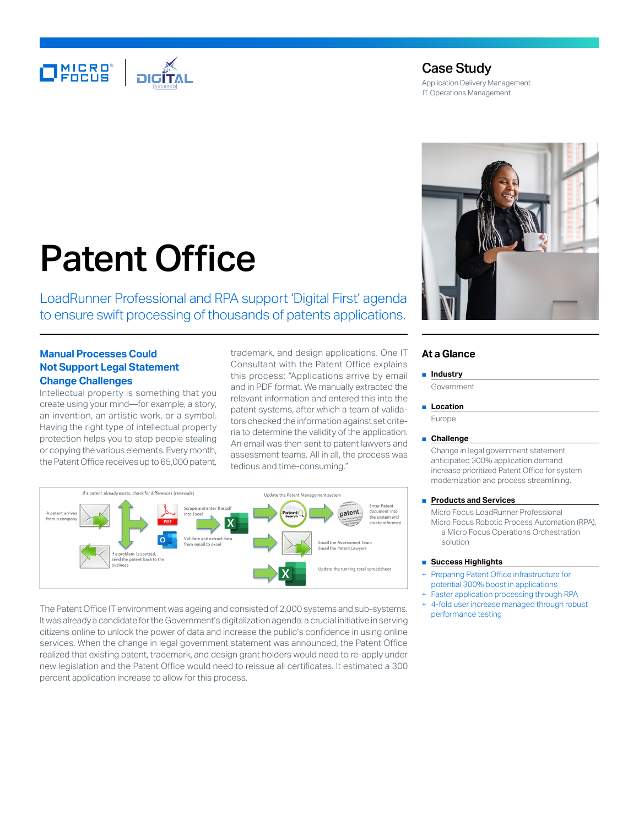

# Case Study

Application Delivery Management IT Operations Management

# Patent Office

LoadRunner Professional and RPA support 'Digital First' agenda to ensure swift processing of thousands of patents applications.

## **Manual Processes Could Not Support Legal Statement Change Challenges**

Intellectual property is something that you create using your mind—for example, a story, an invention, an artistic work, or a symbol. Having the right type of intellectual property protection helps you to stop people stealing or copying the various elements. Every month, the Patent Office receives up to 65,000 patent,

trademark, and design applications. One IT Consultant with the Patent Office explains this process: "Applications arrive by email and in PDF format. We manually extracted the relevant information and entered this into the patent systems, after which a team of validators checked the information against set criteria to determine the validity of the application. An email was then sent to patent lawyers and assessment teams. All in all, the process was tedious and time-consuming."



The Patent Office IT environment was ageing and consisted of 2,000 systems and sub-systems. It was already a candidate for the Government's digitalization agenda: a crucial initiative in serving citizens online to unlock the power of data and increase the public's confidence in using online services. When the change in legal government statement was announced, the Patent Office realized that existing patent, trademark, and design grant holders would need to re-apply under new legislation and the Patent Office would need to reissue all certificates. It estimated a 300 percent application increase to allow for this process.



### **At a Glance**

■ **Industry**

# Government

■ **Location** 

Europe

#### ■ **Challenge**

Change in legal government statement anticipated 300% application demand increase prioritized Patent Office for system modernization and process streamlining.

#### ■ **Products and Services**

Micro Focus LoadRunner Professional Micro Focus Robotic Process Automation (RPA), a Micro Focus Operations Orchestration solution

#### ■ **Success Highlights**

- Preparing Patent Office infrastructure for potential 300% boost in applications
- Faster application processing through RPA 4-fold user increase managed through robust
- performance testing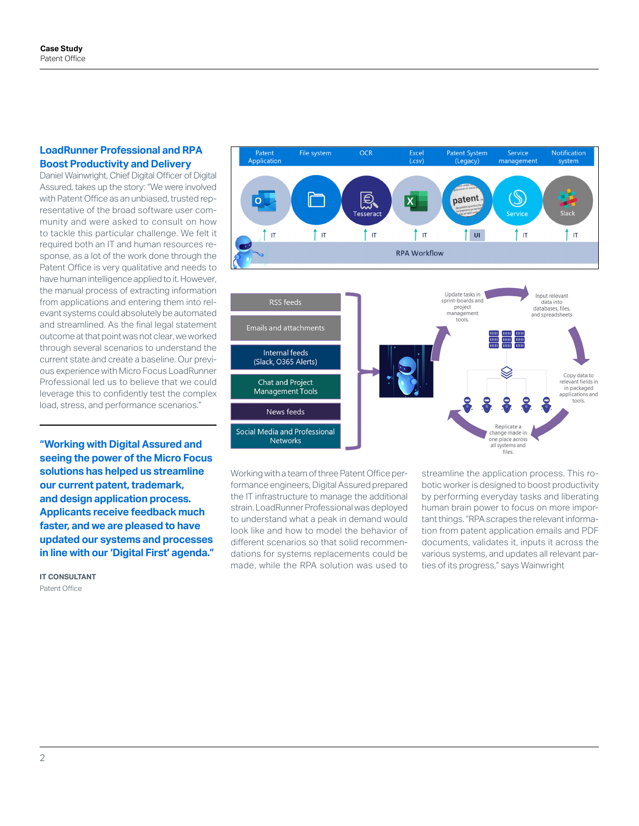## **LoadRunner Professional and RPA Boost Productivity and Delivery**

Daniel Wainwright, Chief Digital Officer of Digital Assured, takes up the story: "We were involved with Patent Office as an unbiased, trusted representative of the broad software user community and were asked to consult on how to tackle this particular challenge. We felt it required both an IT and human resources response, as a lot of the work done through the Patent Office is very qualitative and needs to have human intelligence applied to it. However, the manual process of extracting information from applications and entering them into relevant systems could absolutely be automated and streamlined. As the final legal statement outcome at that point was not clear, we worked through several scenarios to understand the current state and create a baseline. Our previous experience with Micro Focus LoadRunner Professional led us to believe that we could leverage this to confidently test the complex load, stress, and performance scenarios."

**"Working with Digital Assured and seeing the power of the Micro Focus solutions has helped us streamline our current patent, trademark, and design application process. Applicants receive feedback much faster, and we are pleased to have updated our systems and processes in line with our 'Digital First' agenda."**

**IT CONSULTANT** Patent Office



Working with a team of three Patent Office performance engineers, Digital Assured prepared the IT infrastructure to manage the additional strain. LoadRunner Professional was deployed to understand what a peak in demand would look like and how to model the behavior of different scenarios so that solid recommendations for systems replacements could be made, while the RPA solution was used to

streamline the application process. This robotic worker is designed to boost productivity by performing everyday tasks and liberating human brain power to focus on more important things. "RPA scrapes the relevant information from patent application emails and PDF documents, validates it, inputs it across the various systems, and updates all relevant parties of its progress," says Wainwright